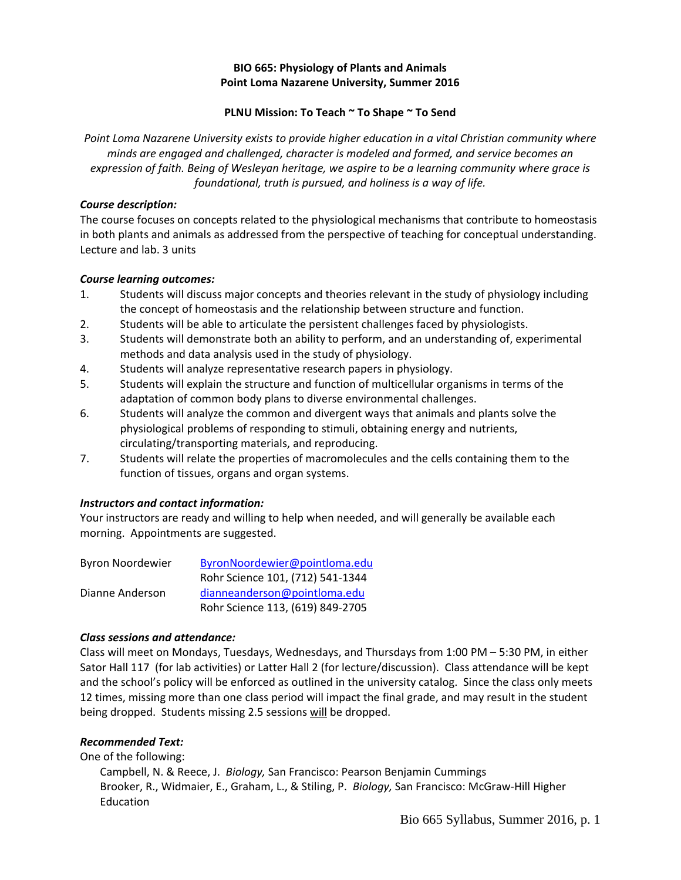## **BIO 665: Physiology of Plants and Animals Point Loma Nazarene University, Summer 2016**

## **PLNU Mission: To Teach ~ To Shape ~ To Send**

*Point Loma Nazarene University exists to provide higher education in a vital Christian community where minds are engaged and challenged, character is modeled and formed, and service becomes an expression of faith. Being of Wesleyan heritage, we aspire to be a learning community where grace is foundational, truth is pursued, and holiness is a way of life.*

### *Course description:*

The course focuses on concepts related to the physiological mechanisms that contribute to homeostasis in both plants and animals as addressed from the perspective of teaching for conceptual understanding. Lecture and lab. 3 units

### *Course learning outcomes:*

- 1. Students will discuss major concepts and theories relevant in the study of physiology including the concept of homeostasis and the relationship between structure and function.
- 2. Students will be able to articulate the persistent challenges faced by physiologists.
- 3. Students will demonstrate both an ability to perform, and an understanding of, experimental methods and data analysis used in the study of physiology.
- 4. Students will analyze representative research papers in physiology.
- 5. Students will explain the structure and function of multicellular organisms in terms of the adaptation of common body plans to diverse environmental challenges.
- 6. Students will analyze the common and divergent ways that animals and plants solve the physiological problems of responding to stimuli, obtaining energy and nutrients, circulating/transporting materials, and reproducing.
- 7. Students will relate the properties of macromolecules and the cells containing them to the function of tissues, organs and organ systems.

# *Instructors and contact information:*

Your instructors are ready and willing to help when needed, and will generally be available each morning. Appointments are suggested.

| <b>Byron Noordewier</b> | ByronNoordewier@pointloma.edu    |
|-------------------------|----------------------------------|
|                         | Rohr Science 101, (712) 541-1344 |
| Dianne Anderson         | dianneanderson@pointloma.edu     |
|                         | Rohr Science 113, (619) 849-2705 |

### *Class sessions and attendance:*

Class will meet on Mondays, Tuesdays, Wednesdays, and Thursdays from 1:00 PM – 5:30 PM, in either Sator Hall 117 (for lab activities) or Latter Hall 2 (for lecture/discussion). Class attendance will be kept and the school's policy will be enforced as outlined in the university catalog. Since the class only meets 12 times, missing more than one class period will impact the final grade, and may result in the student being dropped. Students missing 2.5 sessions will be dropped.

### *Recommended Text:*

One of the following:

Campbell, N. & Reece, J. *Biology,* San Francisco: Pearson Benjamin Cummings Brooker, R., Widmaier, E., Graham, L., & Stiling, P. *Biology,* San Francisco: McGraw-Hill Higher Education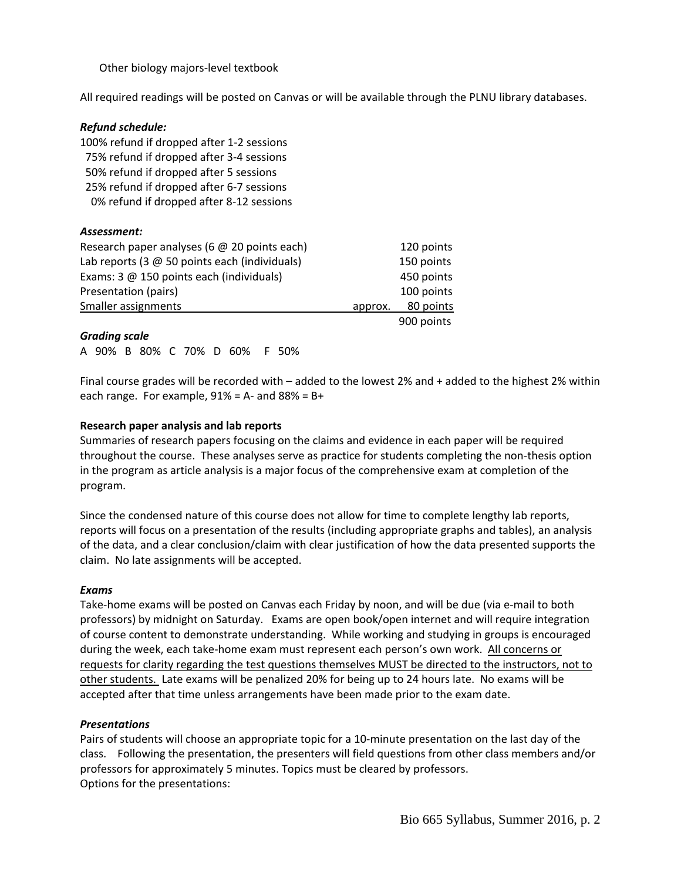Other biology majors-level textbook

All required readings will be posted on Canvas or will be available through the PLNU library databases.

| <b>Refund schedule:</b>                             |         |            |
|-----------------------------------------------------|---------|------------|
| 100% refund if dropped after 1-2 sessions           |         |            |
| 75% refund if dropped after 3-4 sessions            |         |            |
| 50% refund if dropped after 5 sessions              |         |            |
| 25% refund if dropped after 6-7 sessions            |         |            |
| 0% refund if dropped after 8-12 sessions            |         |            |
| Assessment:                                         |         |            |
| Research paper analyses (6 $\omega$ 20 points each) |         | 120 points |
| Lab reports (3 @ 50 points each (individuals)       |         | 150 points |
| Exams: 3 @ 150 points each (individuals)            |         | 450 points |
| Presentation (pairs)                                |         | 100 points |
| Smaller assignments                                 | approx. | 80 points  |
|                                                     |         | 900 points |

#### *Grading scale*

A 90% B 80% C 70% D 60% F 50%

Final course grades will be recorded with – added to the lowest 2% and + added to the highest 2% within each range. For example,  $91\% = A$ - and  $88\% = B+$ 

#### **Research paper analysis and lab reports**

Summaries of research papers focusing on the claims and evidence in each paper will be required throughout the course. These analyses serve as practice for students completing the non-thesis option in the program as article analysis is a major focus of the comprehensive exam at completion of the program.

Since the condensed nature of this course does not allow for time to complete lengthy lab reports, reports will focus on a presentation of the results (including appropriate graphs and tables), an analysis of the data, and a clear conclusion/claim with clear justification of how the data presented supports the claim. No late assignments will be accepted.

#### *Exams*

Take-home exams will be posted on Canvas each Friday by noon, and will be due (via e-mail to both professors) by midnight on Saturday. Exams are open book/open internet and will require integration of course content to demonstrate understanding. While working and studying in groups is encouraged during the week, each take-home exam must represent each person's own work. All concerns or requests for clarity regarding the test questions themselves MUST be directed to the instructors, not to other students. Late exams will be penalized 20% for being up to 24 hours late. No exams will be accepted after that time unless arrangements have been made prior to the exam date.

#### *Presentations*

Pairs of students will choose an appropriate topic for a 10-minute presentation on the last day of the class. Following the presentation, the presenters will field questions from other class members and/or professors for approximately 5 minutes. Topics must be cleared by professors. Options for the presentations: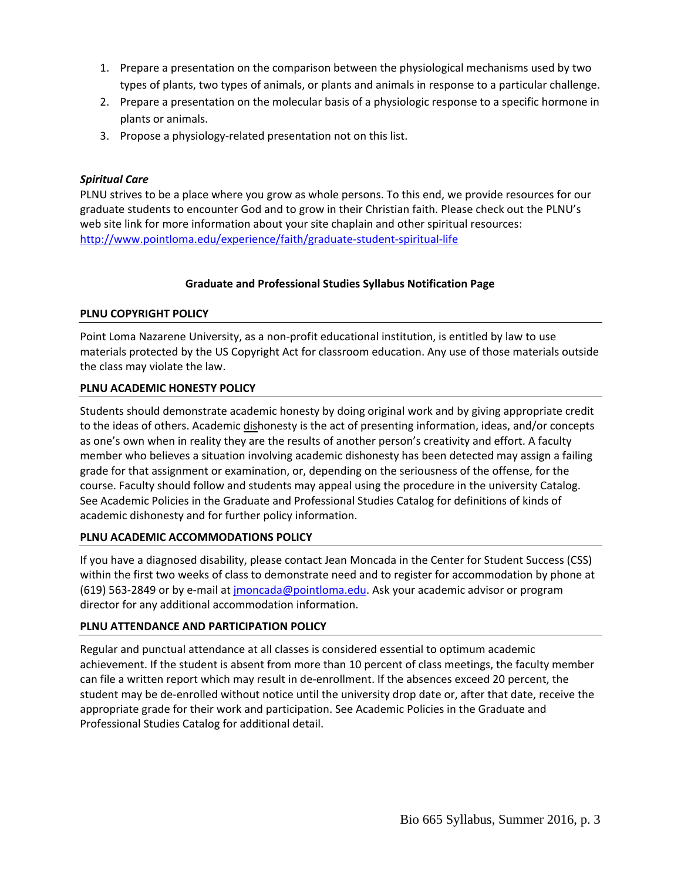- 1. Prepare a presentation on the comparison between the physiological mechanisms used by two types of plants, two types of animals, or plants and animals in response to a particular challenge.
- 2. Prepare a presentation on the molecular basis of a physiologic response to a specific hormone in plants or animals.
- 3. Propose a physiology-related presentation not on this list.

## *Spiritual Care*

PLNU strives to be a place where you grow as whole persons. To this end, we provide resources for our graduate students to encounter God and to grow in their Christian faith. Please check out the PLNU's web site link for more information about your site chaplain and other spiritual resources: <http://www.pointloma.edu/experience/faith/graduate-student-spiritual-life>

## **Graduate and Professional Studies Syllabus Notification Page**

## **PLNU COPYRIGHT POLICY**

Point Loma Nazarene University, as a non-profit educational institution, is entitled by law to use materials protected by the US Copyright Act for classroom education. Any use of those materials outside the class may violate the law.

## **PLNU ACADEMIC HONESTY POLICY**

Students should demonstrate academic honesty by doing original work and by giving appropriate credit to the ideas of others. Academic dishonesty is the act of presenting information, ideas, and/or concepts as one's own when in reality they are the results of another person's creativity and effort. A faculty member who believes a situation involving academic dishonesty has been detected may assign a failing grade for that assignment or examination, or, depending on the seriousness of the offense, for the course. Faculty should follow and students may appeal using the procedure in the university Catalog. See Academic Policies in the Graduate and Professional Studies Catalog for definitions of kinds of academic dishonesty and for further policy information.

### **PLNU ACADEMIC ACCOMMODATIONS POLICY**

If you have a diagnosed disability, please contact Jean Moncada in the Center for Student Success (CSS) within the first two weeks of class to demonstrate need and to register for accommodation by phone at (619) 563-2849 or by e-mail at [jmoncada@pointloma.edu.](mailto:jmoncada@pointloma.edu) Ask your academic advisor or program director for any additional accommodation information.

# **PLNU ATTENDANCE AND PARTICIPATION POLICY**

Regular and punctual attendance at all classes is considered essential to optimum academic achievement. If the student is absent from more than 10 percent of class meetings, the faculty member can file a written report which may result in de-enrollment. If the absences exceed 20 percent, the student may be de-enrolled without notice until the university drop date or, after that date, receive the appropriate grade for their work and participation. See Academic Policies in the Graduate and Professional Studies Catalog for additional detail.